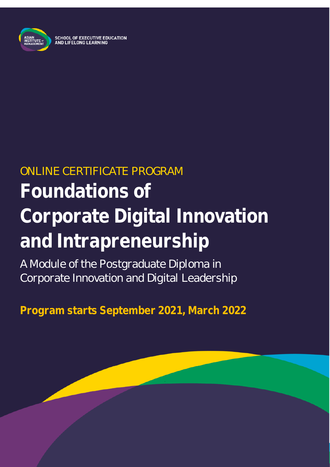

# ONLINE CERTIFICATE PROGRAM **Foundations of Corporate Digital Innovation and Intrapreneurship**

A Module of the Postgraduate Diploma in Corporate Innovation and Digital Leadership

**Program starts September 2021, March 2022**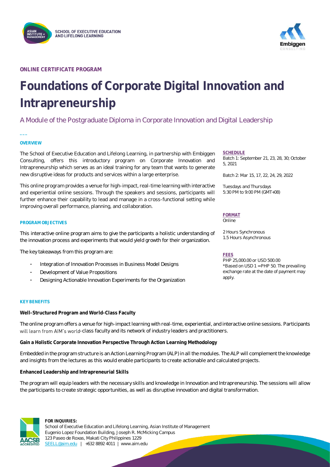



**ONLINE CERTIFICATE PROGRAM**

# **Foundations of Corporate Digital Innovation and Intrapreneurship**

### A Module of the Postgraduate Diploma in Corporate Innovation and Digital Leadership

### **OVERVIEW**

**\_\_\_**

The School of Executive Education and Lifelong Learning, in partnership with Embiggen Consulting, offers this introductory program on Corporate Innovation and Intrapreneurship which serves as an ideal training for any team that wants to generate new disruptive ideas for products and services within a large enterprise.

This online program provides a venue for high-impact, real-time learning with interactive and experiential online sessions. Through the speakers and sessions, participants will further enhance their capability to lead and manage in a cross-functional setting while improving overall performance, planning, and collaboration.

### **PROGRAM OBJECTIVES**

This interactive online program aims to give the participants a holistic understanding of the innovation process and experiments that would yield growth for their organization.

The key takeaways from this program are:

- Integration of Innovation Processes in Business Model Designs
- Development of Value Propositions
- Designing Actionable Innovation Experiments for the Organization

### **KEY BENEFITS**

**Well-Structured Program and World-Class Faculty**

The online program offers a venue for high-impact learning with real-time, experiential, and interactive online sessions. Participants will learn from AIM's world-class faculty and its network of industry leaders and practitioners.

**Gain a Holistic Corporate Innovation Perspective Through Action Learning Methodology**

Embedded in the program structure is an Action Learning Program (ALP) in all the modules. The ALP will complement the knowledge and insights from the lectures as this would enable participants to create actionable and calculated projects.

**Enhanced Leadership and Intrapreneurial Skills**

The program will equip leaders with the necessary skills and knowledge in Innovation and Intrapreneurship. The sessions will allow the participants to create strategic opportunities, as well as disruptive innovation and digital transformation.



### **FOR INQUIRIES:** School of Executive Education and Lifelong Learning, Asian Institute of Management Eugenio Lopez Foundation Building, Joseph R. McMicking Campus 123 Paseo de Roxas, Makati City Philippines 1229 [SEELL@aim.edu](mailto:SEELL@aim.edu) | +632 8892 4011 | www.aim.edu

### **SCHEDULE**

Batch 1: September 21, 23, 28, 30; October 5, 2021

Batch 2: Mar 15, 17, 22, 24, 29, 2022

Tuesdays and Thursdays 5:30 PM to 9:00 PM (GMT+08)

### **FORMAT**

Online

2 Hours Synchronous 1.5 Hours Asynchronous

### **FEES**

PHP 25,000.00 or USD 500.00 \*Based on USD 1 = PHP 50. The prevailing exchange rate at the date of payment may apply.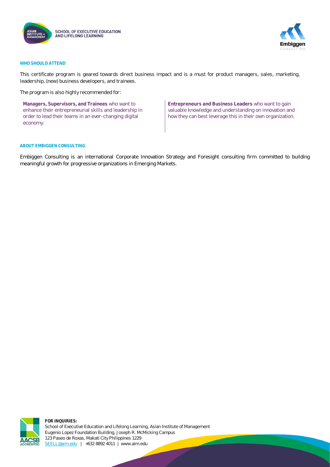



### **WHO SHOULD ATTEND**

This certificate program is geared towards direct business impact and is a must for product managers, sales, marketing, leadership, (new) business developers, and trainees.

The program is also highly recommended for:

**Managers, Supervisors, and Trainees** who want to enhance their entrepreneurial skills and leadership in order to lead their teams in an ever-changing digital economy.

**Entrepreneurs and Business Leaders** who want to gain valuable knowledge and understanding on innovation and how they can best leverage this in their own organization.

### **ABOUT EMBIGGEN CONSULTING**

Embiggen Consulting is an international Corporate Innovation Strategy and Foresight consulting firm committed to building meaningful growth for progressive organizations in Emerging Markets.



**FOR INQUIRIES:** School of Executive Education and Lifelong Learning, Asian Institute of Management Eugenio Lopez Foundation Building, Joseph R. McMicking Campus 123 Paseo de Roxas, Makati City Philippines 1229 [SEELL@aim.edu](mailto:SEELL@aim.edu) | +632 8892 4011 | www.aim.edu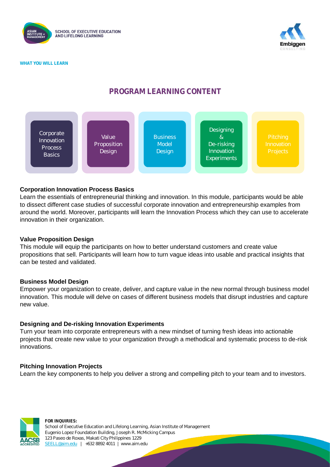





### **PROGRAM LEARNING CONTENT**



### **Corporation Innovation Process Basics**

Learn the essentials of entrepreneurial thinking and innovation. In this module, participants would be able to dissect different case studies of successful corporate innovation and entrepreneurship examples from around the world. Moreover, participants will learn the Innovation Process which they can use to accelerate innovation in their organization.

### **Value Proposition Design**

This module will equip the participants on how to better understand customers and create value propositions that sell. Participants will learn how to turn vague ideas into usable and practical insights that can be tested and validated.

### **Business Model Design**

Empower your organization to create, deliver, and capture value in the new normal through business model innovation. This module will delve on cases of different business models that disrupt industries and capture new value.

### **Designing and De-risking Innovation Experiments**

Turn your team into corporate entrepreneurs with a new mindset of turning fresh ideas into actionable projects that create new value to your organization through a methodical and systematic process to de-risk innovations.

### **Pitching Innovation Projects**

Learn the key components to help you deliver a strong and compelling pitch to your team and to investors.



**FOR INQUIRIES:** School of Executive Education and Lifelong Learning, Asian Institute of Management Eugenio Lopez Foundation Building, Joseph R. McMicking Campus 123 Paseo de Roxas, Makati City Philippines 1229 [SEELL@aim.edu](mailto:SEELL@aim.edu) | +632 8892 4011 | www.aim.edu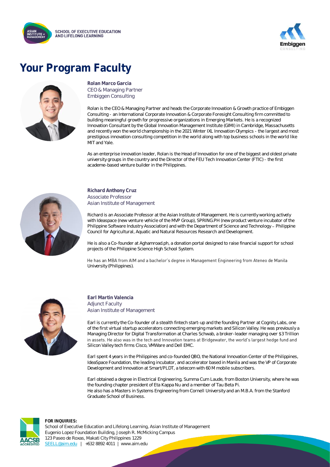



# **Your Program Faculty**



**Rolan Marco Garcia** CEO & Managing Partner Embiggen Consulting

Rolan is the CEO & Managing Partner and heads the Corporate Innovation & Growth practice of Embiggen Consulting - an International Corporate Innovation & Corporate Foresight Consulting firm committed to building meaningful growth for progressive organizations in Emerging Markets. He is a recognized Innovation Consultant by the Global Innovation Management Institute (GIMI) in Cambridge, Massachusetts and recently won the world championship in the 2021 Winter IXL Innovation Olympics - the largest and most prestigious innovation consulting competition in the world along with top business schools in the world like MIT and Yale.

As an enterprise innovation leader, Rolan is the Head of Innovation for one of the biggest and oldest private university groups in the country and the Director of the FEU Tech Innovation Center (FTIC) - the first academe-based venture builder in the Philippines.



**Richard Anthony Cruz** Associate Professor Asian Institute of Management

Richard is an Associate Professor at the Asian Institute of Management. He is currently working actively with Ideaspace (new venture vehicle of the MVP Group), SPRING.PH (new product venture incubator of the Philippine Software Industry Association) and with the Department of Science and Technology - Philippine Council for Agricultural, Aquatic and Natural Resources Research and Development.

He is also a Co-founder at Aghamroad.ph, a donation portal designed to raise financial support for school projects of the Philippine Science High School System.

He has an MBA from AIM and a bachelor's degree in Management Engineering from Ateneo de Manila University (Philippines).



**Earl Martin Valencia** Adjunct Faculty Asian Institute of Management

Earl is currently the Co-founder of a stealth fintech start-up and the founding Partner at Cognity Labs, one of the first virtual startup accelerators connecting emerging markets and Silicon Valley. He was previously a Managing Director for Digital Transformation at Charles Schwab, a broker-leader managing over \$3 Trillion in assets. He also was in the tech and Innovation teams at Bridgewater, the world's largest hedge fund and Silicon Valley tech firms Cisco, VMWare and Dell EMC.

Earl spent 4 years in the Philippines and co-founded QBO, the National Innovation Center of the Philippines, IdeaSpace Foundation, the leading incubator, and accelerator based in Manila and was the VP of Corporate Development and Innovation at Smart/PLDT, a telecom with 60 M mobile subscribers.

Earl obtained a degree in Electrical Engineering, Summa Cum Laude, from Boston University, where he was the founding chapter president of Eta Kappa Nu and a member of Tau Beta Pi. He also has a Masters in Systems Engineering from Cornell University and an M.B.A. from the Stanford Graduate School of Business.



**FOR INQUIRIES:**

School of Executive Education and Lifelong Learning, Asian Institute of Management Eugenio Lopez Foundation Building, Joseph R. McMicking Campus 123 Paseo de Roxas, Makati City Philippines 1229 [SEELL@aim.edu](mailto:SEELL@aim.edu) | +632 8892 4011 | www.aim.edu